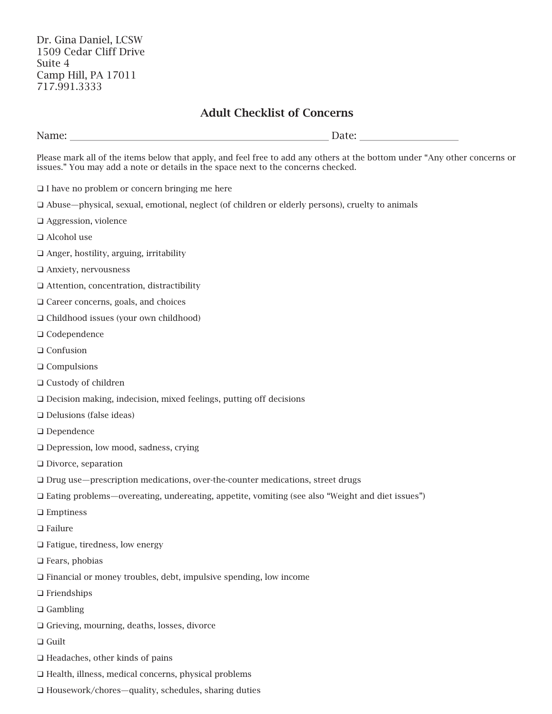## Adult Checklist of Concerns

| Please mark all of the items below that apply, and feel free to add any others at the bottom under "Any other concerns or<br>issues." You may add a note or details in the space next to the concerns checked. |  |
|----------------------------------------------------------------------------------------------------------------------------------------------------------------------------------------------------------------|--|
| $\Box$ I have no problem or concern bringing me here                                                                                                                                                           |  |
| $\Box$ Abuse—physical, sexual, emotional, neglect (of children or elderly persons), cruelty to animals                                                                                                         |  |
| $\Box$ Aggression, violence                                                                                                                                                                                    |  |
| $\Box$ Alcohol use                                                                                                                                                                                             |  |
| $\Box$ Anger, hostility, arguing, irritability                                                                                                                                                                 |  |
| $\Box$ Anxiety, nervousness                                                                                                                                                                                    |  |
| $\Box$ Attention, concentration, distractibility                                                                                                                                                               |  |
| $\Box$ Career concerns, goals, and choices                                                                                                                                                                     |  |
| $\Box$ Childhood issues (your own childhood)                                                                                                                                                                   |  |
| $\Box$ Codependence                                                                                                                                                                                            |  |
| $\Box$ Confusion                                                                                                                                                                                               |  |
| $\Box$ Compulsions                                                                                                                                                                                             |  |
|                                                                                                                                                                                                                |  |

- ❑ Custody of children
- ❑ Decision making, indecision, mixed feelings, putting off decisions
- ❑ Delusions (false ideas)
- ❑ Dependence
- ❑ Depression, low mood, sadness, crying
- ❑ Divorce, separation
- ❑ Drug use—prescription medications, over-the-counter medications, street drugs
- ❑ Eating problems—overeating, undereating, appetite, vomiting (see also "Weight and diet issues")
- ❑ Emptiness
- ❑ Failure
- ❑ Fatigue, tiredness, low energy
- ❑ Fears, phobias
- ❑ Financial or money troubles, debt, impulsive spending, low income
- ❑ Friendships
- ❑ Gambling
- ❑ Grieving, mourning, deaths, losses, divorce
- ❑ Guilt
- ❑ Headaches, other kinds of pains
- ❑ Health, illness, medical concerns, physical problems
- ❑ Housework/chores—quality, schedules, sharing duties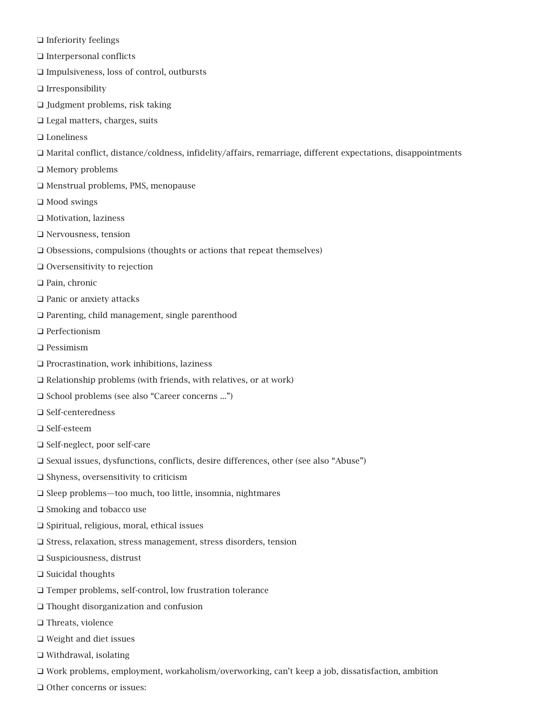- ❑ Inferiority feelings
- ❑ Interpersonal conflicts
- ❑ Impulsiveness, loss of control, outbursts
- ❑ Irresponsibility
- ❑ Judgment problems, risk taking
- ❑ Legal matters, charges, suits
- ❑ Loneliness
- ❑ Marital conflict, distance/coldness, infidelity/affairs, remarriage, different expectations, disappointments
- ❑ Memory problems
- ❑ Menstrual problems, PMS, menopause
- ❑ Mood swings
- ❑ Motivation, laziness
- ❑ Nervousness, tension
- ❑ Obsessions, compulsions (thoughts or actions that repeat themselves)
- ❑ Oversensitivity to rejection
- ❑ Pain, chronic
- ❑ Panic or anxiety attacks
- ❑ Parenting, child management, single parenthood
- ❑ Perfectionism
- ❑ Pessimism
- ❑ Procrastination, work inhibitions, laziness
- ❑ Relationship problems (with friends, with relatives, or at work)
- ❑ School problems (see also "Career concerns ...")
- ❑ Self-centeredness
- ❑ Self-esteem
- ❑ Self-neglect, poor self-care
- ❑ Sexual issues, dysfunctions, conflicts, desire differences, other (see also "Abuse")
- ❑ Shyness, oversensitivity to criticism
- ❑ Sleep problems—too much, too little, insomnia, nightmares
- ❑ Smoking and tobacco use
- ❑ Spiritual, religious, moral, ethical issues
- ❑ Stress, relaxation, stress management, stress disorders, tension
- ❑ Suspiciousness, distrust
- ❑ Suicidal thoughts
- ❑ Temper problems, self-control, low frustration tolerance
- ❑ Thought disorganization and confusion
- ❑ Threats, violence
- ❑ Weight and diet issues
- ❑ Withdrawal, isolating
- ❑ Work problems, employment, workaholism/overworking, can't keep a job, dissatisfaction, ambition
- ❑ Other concerns or issues: